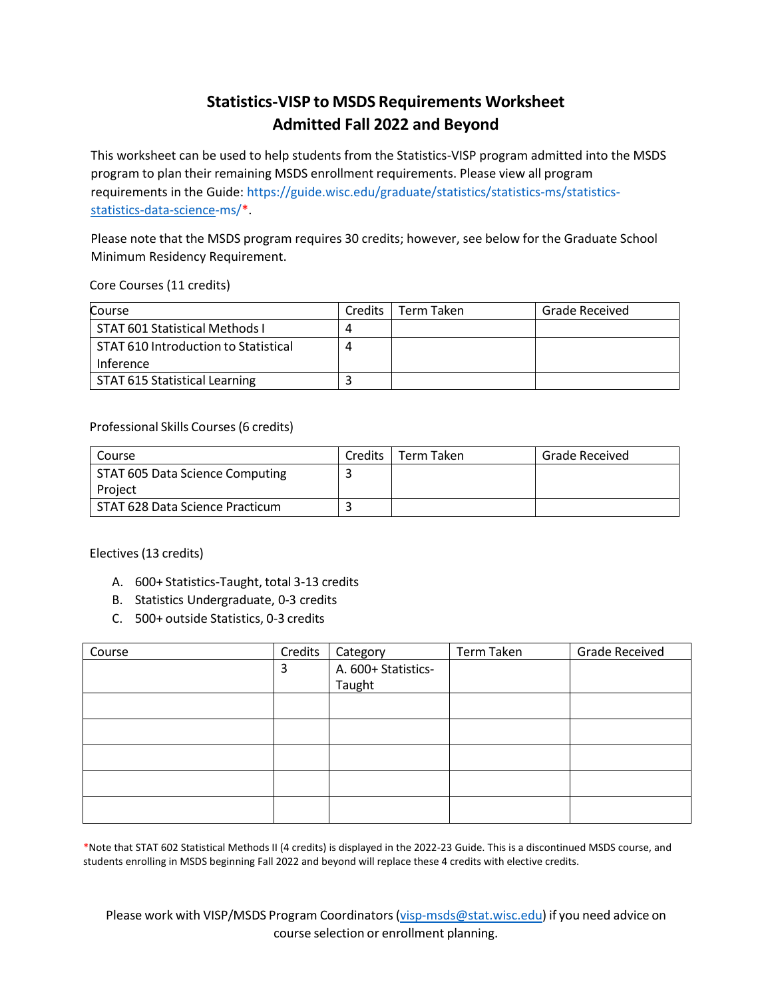## **Statistics-VISP to MSDS Requirements Worksheet Admitted Fall 2022 and Beyond**

This worksheet can be used to help students from the Statistics-VISP program admitted into the MSDS program to plan their remaining MSDS enrollment requirements. Please view all program requirements in the Guide: https://guide.wisc.edu/graduate/statistics/statistics-ms/statisticsstatistics-data-science-ms/\*.

Please note that the MSDS program requires 30 credits; however, see below for the Graduate School Minimum Residency Requirement.

Core Courses (11 credits)

| Course                               | Credits | Term Taken | Grade Received |
|--------------------------------------|---------|------------|----------------|
| STAT 601 Statistical Methods I       |         |            |                |
| STAT 610 Introduction to Statistical |         |            |                |
| Inference                            |         |            |                |
| STAT 615 Statistical Learning        |         |            |                |

Professional Skills Courses(6 credits)

| Course                          | Credits | Term Taken | Grade Received |
|---------------------------------|---------|------------|----------------|
| STAT 605 Data Science Computing |         |            |                |
| Project                         |         |            |                |
| STAT 628 Data Science Practicum |         |            |                |

Electives(13 credits)

- A. 600+ Statistics-Taught, total 3-13 credits
- B. Statistics Undergraduate, 0-3 credits
- C. 500+ outside Statistics, 0-3 credits

| Course | Credits | Category            | Term Taken | <b>Grade Received</b> |
|--------|---------|---------------------|------------|-----------------------|
|        | 3       | A. 600+ Statistics- |            |                       |
|        |         | Taught              |            |                       |
|        |         |                     |            |                       |
|        |         |                     |            |                       |
|        |         |                     |            |                       |
|        |         |                     |            |                       |
|        |         |                     |            |                       |
|        |         |                     |            |                       |

\*Note that STAT 602 Statistical Methods II (4 credits) is displayed in the 2022-23 Guide. This is a discontinued MSDS course, and students enrolling in MSDS beginning Fall 2022 and beyond will replace these 4 credits with elective credits.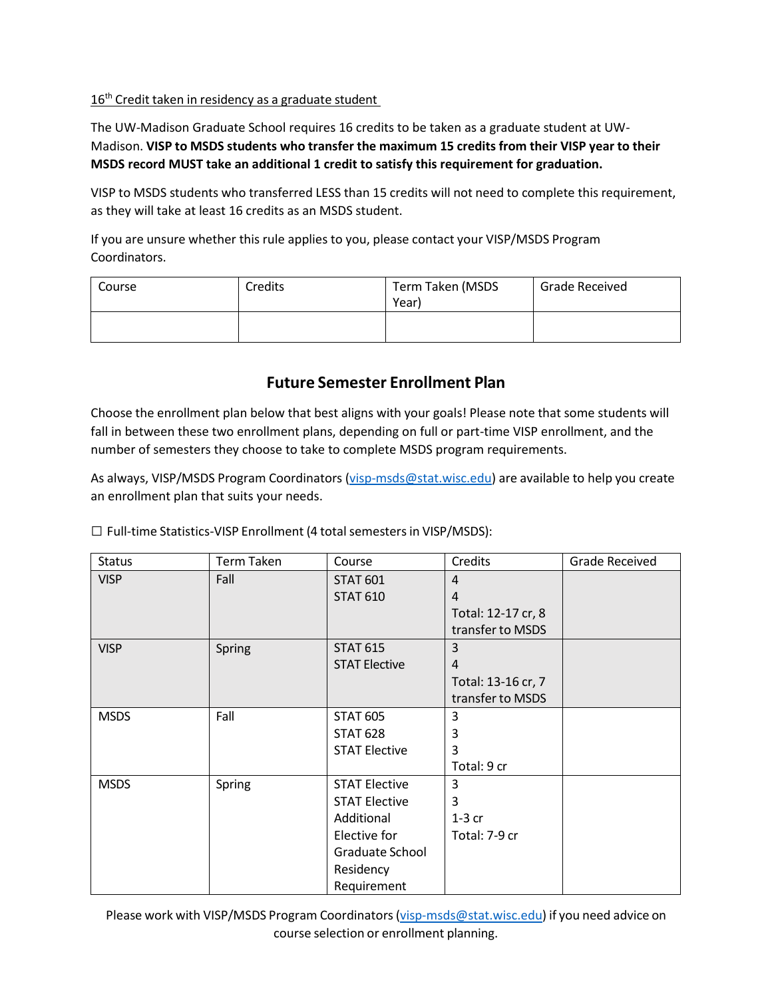## 16<sup>th</sup> Credit taken in residency as a graduate student

The UW-Madison Graduate School requires 16 credits to be taken as a graduate student at UW-Madison. **VISP to MSDS students who transfer the maximum 15 credits from their VISP year to their MSDS record MUST take an additional 1 credit to satisfy this requirement for graduation.**

VISP to MSDS students who transferred LESS than 15 credits will not need to complete this requirement, as they will take at least 16 credits as an MSDS student.

If you are unsure whether this rule applies to you, please contact your VISP/MSDS Program Coordinators.

| Course | Credits | Term Taken (MSDS<br>Year) | <b>Grade Received</b> |
|--------|---------|---------------------------|-----------------------|
|        |         |                           |                       |

## **Future Semester Enrollment Plan**

Choose the enrollment plan below that best aligns with your goals! Please note that some students will fall in between these two enrollment plans, depending on full or part-time VISP enrollment, and the number of semesters they choose to take to complete MSDS program requirements.

As always, VISP/MSDS Program Coordinators (visp-msds@stat.wisc.edu) are available to help you create an enrollment plan that suits your needs.

| <b>Status</b> | <b>Term Taken</b> | Course               | Credits            | Grade Received |
|---------------|-------------------|----------------------|--------------------|----------------|
| <b>VISP</b>   | Fall              | <b>STAT 601</b>      | $\overline{4}$     |                |
|               |                   | <b>STAT 610</b>      | $\overline{4}$     |                |
|               |                   |                      | Total: 12-17 cr, 8 |                |
|               |                   |                      | transfer to MSDS   |                |
| <b>VISP</b>   | Spring            | <b>STAT 615</b>      | 3                  |                |
|               |                   | <b>STAT Elective</b> | $\overline{4}$     |                |
|               |                   |                      | Total: 13-16 cr, 7 |                |
|               |                   |                      | transfer to MSDS   |                |
| <b>MSDS</b>   | Fall              | <b>STAT 605</b>      | 3                  |                |
|               |                   | <b>STAT 628</b>      | 3                  |                |
|               |                   | <b>STAT Elective</b> | 3                  |                |
|               |                   |                      | Total: 9 cr        |                |
| <b>MSDS</b>   | Spring            | <b>STAT Elective</b> | 3                  |                |
|               |                   | <b>STAT Elective</b> | 3                  |                |
|               |                   | Additional           | $1-3$ cr           |                |
|               |                   | Elective for         | Total: 7-9 cr      |                |
|               |                   | Graduate School      |                    |                |
|               |                   | Residency            |                    |                |
|               |                   | Requirement          |                    |                |

□ Full-time Statistics-VISP Enrollment (4 total semesters in VISP/MSDS):

Please work with VISP/MSDS Program Coordinators [\(visp-msds@stat.wisc.edu\)](mailto:visp-msds@stat.wisc.edu) if you need advice on course selection or enrollment planning.